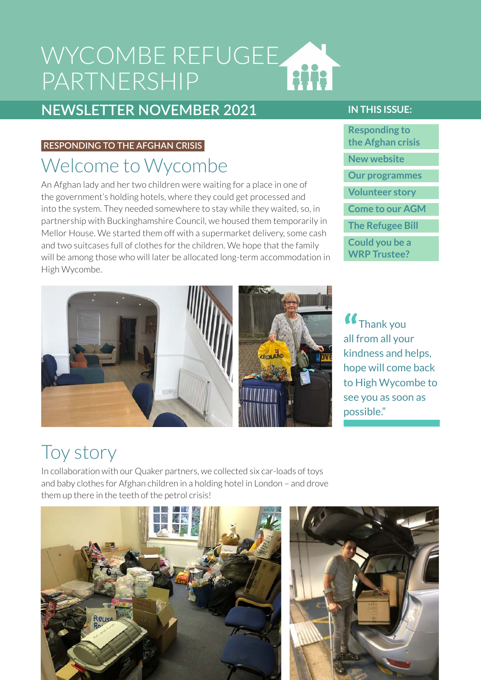### WYCOMBE REFUGEE **Hitle** PARTNERSHIP

### **NEWSLETTER NOVEMBER 2021**

#### <span id="page-0-0"></span>**RESPONDING TO THE AFGHAN CRISIS**

## Welcome to Wycombe

An Afghan lady and her two children were waiting for a place in one of the government's holding hotels, where they could get processed and into the system. They needed somewhere to stay while they waited, so, in partnership with Buckinghamshire Council, we housed them temporarily in Mellor House. We started them off with a supermarket delivery, some cash and two suitcases full of clothes for the children. We hope that the family will be among those who will later be allocated long-term accommodation in High Wycombe.

#### **IN THIS ISSUE:**

**[Responding to](#page-0-0)  [the Afghan crisis](#page-0-0) [New website](#page-1-0) [Our programmes](#page-1-1) [Volunteer story](#page-1-2) [Come to our AGM](#page-2-0) [The Refugee Bill](#page-2-1) [Could you be a](#page-2-2)  [WRP Trustee?](#page-2-2)**

**"** Thank you all from all your kindness and helps, hope will come back to High Wycombe to see you as soon as possible."

## Toy story

In collaboration with our Quaker partners, we collected six car-loads of toys and baby clothes for Afghan children in a holding hotel in London – and drove them up there in the teeth of the petrol crisis!



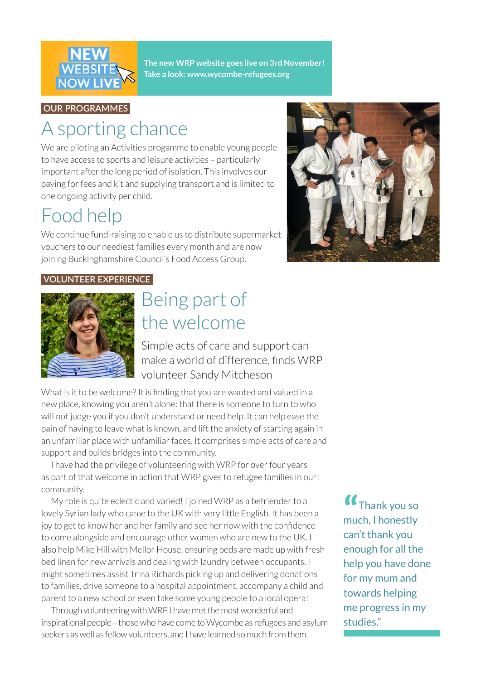

<span id="page-1-0"></span>**The new WRP website goes live on 3rd November! Take a look: [www.wycombe-refugees.org]( www.wycombe-refugees.org)**

#### <span id="page-1-1"></span>**OUR PROGRAMMES**

## A sporting chance

We are piloting an Activities progamme to enable young people to have access to sports and leisure activities – particularly important after the long period of isolation. This involves our paying for fees and kit and supplying transport and is limited to one ongoing activity per child.

## Food help

We continue fund-raising to enable us to distribute supermarket vouchers to our neediest families every month and are now joining Buckinghamshire Council's Food Access Group.



#### <span id="page-1-2"></span>**VOLUNTEER EXPERIENCE**



## Being part of the welcome

Simple acts of care and support can make a world of difference, finds WRP volunteer Sandy Mitcheson

What is it to be welcome? It is finding that you are wanted and valued in a new place, knowing you aren't alone: that there is someone to turn to who will not judge you if you don't understand or need help. It can help ease the pain of having to leave what is known, and lift the anxiety of starting again in an unfamiliar place with unfamiliar faces. It comprises simple acts of care and support and builds bridges into the community.

I have had the privilege of volunteering with WRP for over four years as part of that welcome in action that WRP gives to refugee families in our community.

My role is quite eclectic and varied! I joined WRP as a befriender to a lovely Syrian lady who came to the UK with very little English. It has been a joy to get to know her and her family and see her now with the confidence to come alongside and encourage other women who are new to the UK. I also help Mike Hill with Mellor House, ensuring beds are made up with fresh bed linen for new arrivals and dealing with laundry between occupants. I might sometimes assist Trina Richards picking up and delivering donations to families, drive someone to a hospital appointment, accompany a child and parent to a new school or even take some young people to a local opera!

Through volunteering with WRP I have met the most wonderful and inspirational people—those who have come to Wycombe as refugees and asylum seekers as well as fellow volunteers, and I have learned so much from them.

**"** Thank you so much, I honestly can't thank you enough for all the help you have done for my mum and towards helping me progress in my studies."